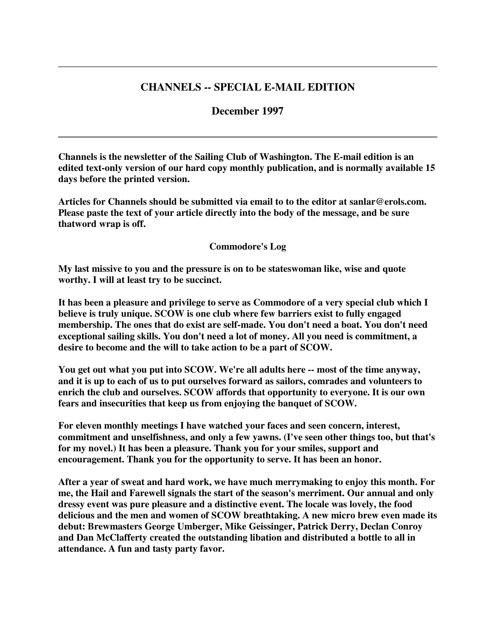## **CHANNELS -- SPECIAL E-MAIL EDITION**

## **December 1997**

**Channels is the newsletter of the Sailing Club of Washington. The E-mail edition is an edited text-only version of our hard copy monthly publication, and is normally available 15 days before the printed version.**

**Articles for Channels should be submitted via email to to the editor at sanlar@erols.com. Please paste the text of your article directly into the body of the message, and be sure thatword wrap is off.**

## **Commodore's Log**

**My last missive to you and the pressure is on to be stateswoman like, wise and quote worthy. I will at least try to be succinct.**

**It has been a pleasure and privilege to serve as Commodore of a very special club which I believe is truly unique. SCOW is one club where few barriers exist to fully engaged membership. The ones that do exist are self-made. You don't need a boat. You don't need exceptional sailing skills. You don't need a lot of money. All you need is commitment, a desire to become and the will to take action to be a part of SCOW.**

**You get out what you put into SCOW. We're all adults here -- most of the time anyway, and it is up to each of us to put ourselves forward as sailors, comrades and volunteers to enrich the club and ourselves. SCOW affords that opportunity to everyone. It is our own fears and insecurities that keep us from enjoying the banquet of SCOW.**

**For eleven monthly meetings I have watched your faces and seen concern, interest, commitment and unselfishness, and only a few yawns. (I've seen other things too, but that's for my novel.) It has been a pleasure. Thank you for your smiles, support and encouragement. Thank you for the opportunity to serve. It has been an honor.**

**After a year of sweat and hard work, we have much merrymaking to enjoy this month. For me, the Hail and Farewell signals the start of the season's merriment. Our annual and only dressy event was pure pleasure and a distinctive event. The locale was lovely, the food delicious and the men and women of SCOW breathtaking. A new micro brew even made its debut: Brewmasters George Umberger, Mike Geissinger, Patrick Derry, Declan Conroy and Dan McClafferty created the outstanding libation and distributed a bottle to all in attendance. A fun and tasty party favor.**